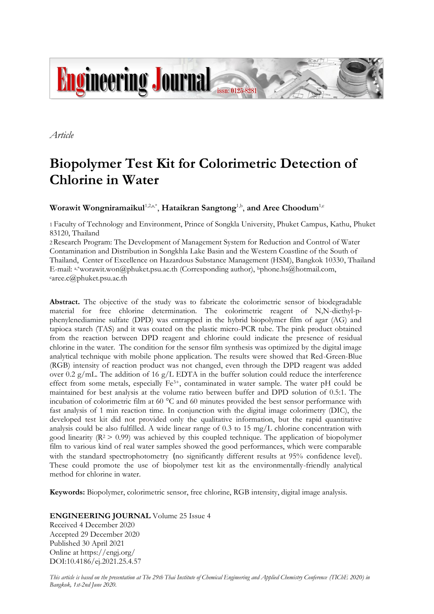

*Article*

# **Biopolymer Test Kit for Colorimetric Detection of Chlorine in Water**

 $\mathbf{W}$ orawit  $\mathbf{W}$ ongniramaikul $^{1,2,\mathbb{a}^*},$  **Hataikran Sangtong** $^{1,\mathsf{b}}$ **, and Aree Choodum** $^{1,\mathsf{c}}$ 

1 Faculty of Technology and Environment, Prince of Songkla University, Phuket Campus, Kathu, Phuket 83120, Thailand

2Research Program: The Development of Management System for Reduction and Control of Water Contamination and Distribution in Songkhla Lake Basin and the Western Coastline of the South of Thailand, Center of Excellence on Hazardous Substance Management (HSM), Bangkok 10330, Thailand E-mail: a,\*worawit.won@phuket.psu.ac.th (Corresponding author), bphone.hs@hotmail.com, caree.c@phuket.psu.ac.th

**Abstract.** The objective of the study was to fabricate the colorimetric sensor of biodegradable material for free chlorine determination. The colorimetric reagent of N,N-diethyl-pphenylenediamine sulfate (DPD) was entrapped in the hybrid biopolymer film of agar (AG) and tapioca starch (TAS) and it was coated on the plastic micro-PCR tube. The pink product obtained from the reaction between DPD reagent and chlorine could indicate the presence of residual chlorine in the water. The condition for the sensor film synthesis was optimized by the digital image analytical technique with mobile phone application. The results were showed that Red-Green-Blue (RGB) intensity of reaction product was not changed, even through the DPD reagent was added over 0.2  $g/mL$ . The addition of 16  $g/L$  EDTA in the buffer solution could reduce the interference effect from some metals, especially Fe3+, contaminated in water sample. The water pH could be maintained for best analysis at the volume ratio between buffer and DPD solution of 0.5:1. The incubation of colorimetric film at 60 °C and 60 minutes provided the best sensor performance with fast analysis of 1 min reaction time. In conjunction with the digital image colorimetry (DIC), the developed test kit did not provided only the qualitative information, but the rapid quantitative analysis could be also fulfilled. A wide linear range of  $0.3$  to  $15 \text{ mg/L}$  chlorine concentration with good linearity  $(R^2 > 0.99)$  was achieved by this coupled technique. The application of biopolymer film to various kind of real water samples showed the good performances, which were comparable with the standard spectrophotometry (no significantly different results at 95% confidence level). These could promote the use of biopolymer test kit as the environmentally-friendly analytical method for chlorine in water.

**Keywords:** Biopolymer, colorimetric sensor, free chlorine, RGB intensity, digital image analysis.

**ENGINEERING JOURNAL** Volume 25 Issue 4

Received 4 December 2020 Accepted 29 December 2020 Published 30 April 2021 Online at https://engj.org/ DOI:10.4186/ej.2021.25.4.57

*This article is based on the presentation at The 29th Thai Institute of Chemical Engineering and Applied Chemistry Conference (TIChE 2020) in Bangkok, 1st-2nd June 2020.*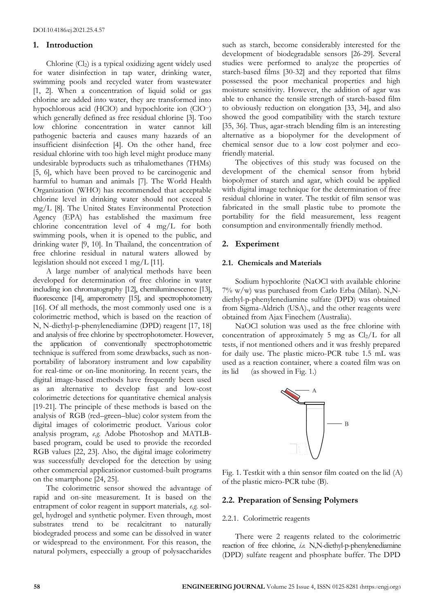## **1. Introduction**

Chlorine (Cl2) is a typical oxidizing agent widely used for water disinfection in tap water, drinking water, swimming pools and recycled water from wastewater [1, 2]. When a concentration of liquid solid or gas chlorine are added into water, they are transformed into hypochlorous acid (HClO) and hypochlorite ion (ClO−) which generally defined as free residual chlorine [3]. Too low chlorine concentration in water cannot kill pathogenic bacteria and causes many hazards of an insufficient disinfection [4]. On the other hand, free residual chlorine with too high level might produce many undesirable byproducts such as trihalomethanes (THMs) [5, 6], which have been proved to be carcinogenic and harmful to human and animals [7]. The World Health Organization (WHO) has recommended that acceptable chlorine level in drinking water should not exceed 5 mg/L [8]. The United States Environmental Protection Agency (EPA) has established the maximum free chlorine concentration level of 4 mg/L for both swimming pools, when it is opened to the public, and drinking water [9, 10]. In Thailand, the concentration of free chlorine residual in natural waters allowed by legislation should not exceed 1 mg/L [11].

A large number of analytical methods have been developed for determination of free chlorine in water including ion chromatography [12], chemiluminescence [13], fluorescence [14], amperometry [15], and spectrophotometry [16]. Of all methods, the most commonly used one is a colorimetric method, which is based on the reaction of N, N-diethyl-p-phenylenediamine (DPD) reagent [17, 18] and analysis of free chlorine by spectrophotometer. However, the application of conventionally spectrophotometric technique is suffered from some drawbacks, such as nonportability of laboratory instrument and low capability for real-time or on-line monitoring. In recent years, the digital image-based methods have frequently been used as an alternative to develop fast and low-cost colorimetric detections for quantitative chemical analysis [19-21]. The principle of these methods is based on the analysis of RGB (red–green–blue) color system from the digital images of colorimetric product. Various color analysis program, *e.g.* Adobe Photoshop and MATLBbased program, could be used to provide the recorded RGB values [22, 23]. Also, the digital image colorimetry was successfully developed for the detection by using other commercial applicationor customed-built programs on the smartphone [24, 25].

The colorimetric sensor showed the advantage of rapid and on-site measurement. It is based on the entrapment of color reagent in support materials, *e.g.* solgel, hydrogel and synthetic polymer. Even through, most substrates trend to be recalcitrant to naturally biodegraded process and some can be dissolved in water or widespread to the environment. For this reason, the natural polymers, especcially a group of polysaccharides

such as starch, become considerably interested for the development of biodegradable sensors [26-29]. Several studies were performed to analyze the properties of starch-based films [30-32] and they reported that films possessed the poor mechanical properties and high moisture sensitivity. However, the addition of agar was able to enhance the tensile strength of starch-based film to obviously reduction on elongation [33, 34], and also showed the good compatibility with the starch texture [35, 36]. Thus, agar-strach blending film is an interesting alternative as a biopolymer for the development of chemical sensor due to a low cost polymer and ecofriendly material.

The objectives of this study was focused on the development of the chemical sensor from hybrid biopolymer of starch and agar, which could be applied with digital image technique for the determination of free residual chlorine in water. The testkit of film sensor was fabricated in the small plastic tube to promote the portability for the field measurement, less reagent consumption and environmentally friendly method.

# **2. Experiment**

#### **2.1. Chemicals and Materials**

Sodium hypochlorite (NaOCl with available chlorine 7% w/w) was purchased from Carlo Erba (Milan). N,Ndiethyl-p-phenylenediamine sulfate (DPD) was obtained from Sigma-Aldrich (USA)., and the other reagents were obtained from Ajax Finechem (Australia).

NaOCl solution was used as the free chlorine with concentration of approximately 5 mg as  $Cl<sub>2</sub>/L$  for all tests, if not mentioned others and it was freshly prepared for daily use. The plastic micro-PCR tube 1.5 mL was used as a reaction container, where a coated film was on its lid (as showed in Fig. 1.)



Fig. 1. Testkit with a thin sensor film coated on the lid (A) of the plastic micro-PCR tube (B).

## **2.2. Preparation of Sensing Polymers**

#### 2.2.1. Colorimetric reagents

There were 2 reagents related to the colorimetric reaction of free chlorine, *i.e.* N,N-diethyl-p-phenylenediamine (DPD) sulfate reagent and phosphate buffer. The DPD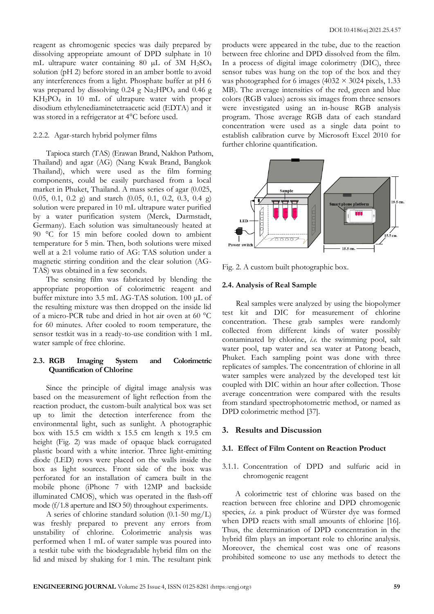reagent as chromogenic species was daily prepared by dissolving appropriate amount of DPD sulphate in 10 mL ultrapure water containing 80  $\mu$ L of 3M H<sub>2</sub>SO<sub>4</sub> solution (pH 2) before stored in an amber bottle to avoid any interferences from a light. Phosphate buffer at pH 6 was prepared by dissolving  $0.24$  g Na<sub>2</sub>HPO<sub>4</sub> and  $0.46$  g KH2PO<sup>4</sup> in 10 mL of ultrapure water with proper disodium ethylenediaminetetraacetic acid (EDTA) and it was stored in a refrigerator at 4°C before used.

#### 2.2.2. Agar-starch hybrid polymer films

Tapioca starch (TAS) (Erawan Brand, Nakhon Pathom, Thailand) and agar (AG) (Nang Kwak Brand, Bangkok Thailand), which were used as the film forming components, could be easily purchased from a local market in Phuket, Thailand. A mass series of agar (0.025, 0.05, 0.1, 0.2 g) and starch (0.05, 0.1, 0.2, 0.3, 0.4 g) solution were prepared in 10 mL ultrapure water purified by a water purification system (Merck, Darmstadt, Germany). Each solution was simultaneously heated at 90 °C for 15 min before cooled down to ambient temperature for 5 min. Then, both solutions were mixed well at a 2:1 volume ratio of AG: TAS solution under a magnetic stirring condition and the clear solution (AG-TAS) was obtained in a few seconds.

The sensing film was fabricated by blending the appropriate proportion of colorimetric reagent and buffer mixture into 3.5 mL AG-TAS solution. 100 μL of the resulting mixture was then dropped on the inside lid of a micro-PCR tube and dried in hot air oven at 60 °C for 60 minutes. After cooled to room temperature, the sensor testkit was in a ready-to-use condition with 1 mL water sample of free chlorine.

# **2.3. RGB Imaging System and Colorimetric Quantification of Chlorine**

Since the principle of digital image analysis was based on the measurement of light reflection from the reaction product, the custom-built analytical box was set up to limit the detection interference from the environmental light, such as sunlight. A photographic box with 15.5 cm width x 15.5 cm length x 19.5 cm height (Fig. 2) was made of opaque black corrugated plastic board with a white interior. Three light-emitting diode (LED) rows were placed on the walls inside the box as light sources. Front side of the box was perforated for an installation of camera built in the mobile phone (iPhone 7 with 12MP and backside illuminated CMOS), which was operated in the flash-off mode (f/1.8 aperture and ISO 50) throughout experiments.

A series of chlorine standard solution (0.1-50 mg/L) was freshly prepared to prevent any errors from unstability of chlorine. Colorimetric analysis was performed when 1 mL of water sample was poured into a testkit tube with the biodegradable hybrid film on the lid and mixed by shaking for 1 min. The resultant pink

products were appeared in the tube, due to the reaction between free chlorine and DPD dissolved from the film. In a process of digital image colorimetry (DIC), three sensor tubes was hung on the top of the box and they was photographed for 6 images (4032  $\times$  3024 pixels, 1.33 MB). The average intensities of the red, green and blue colors (RGB values) across six images from three sensors were investigated using an in-house RGB analysis program. Those average RGB data of each standard concentration were used as a single data point to establish calibration curve by Microsoft Excel 2010 for further chlorine quantification.



Fig. 2. A custom built photographic box.

## **2.4. Analysis of Real Sample**

Real samples were analyzed by using the biopolymer test kit and DIC for measurement of chlorine concentration. These grab samples were randomly collected from different kinds of water possibly contaminated by chlorine, *i.e.* the swimming pool, salt water pool, tap water and sea water at Patong beach, Phuket. Each sampling point was done with three replicates of samples. The concentration of chlorine in all water samples were analyzed by the developed test kit coupled with DIC within an hour after collection. Those average concentration were compared with the results from standard spectrophotometric method, or named as DPD colorimetric method [37].

## **3. Results and Discussion**

# **3.1. Effect of Film Content on Reaction Product**

3.1.1. Concentration of DPD and sulfuric acid in chromogenic reagent

A colorimetric test of chlorine was based on the reaction between free chlorine and DPD chromogenic species, *i.e.* a pink product of Würster dye was formed when DPD reacts with small amounts of chlorine [16]. Thus, the determination of DPD concentration in the hybrid film plays an important role to chlorine analysis. Moreover, the chemical cost was one of reasons prohibited someone to use any methods to detect the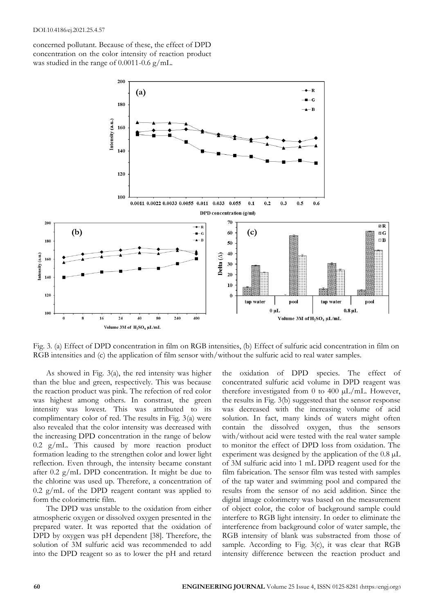concerned pollutant. Because of these, the effect of DPD concentration on the color intensity of reaction product was studied in the range of 0.0011-0.6 g/mL.



Fig. 3. (a) Effect of DPD concentration in film on RGB intensities, (b) Effect of sulfuric acid concentration in film on RGB intensities and (c) the application of film sensor with/without the sulfuric acid to real water samples.

As showed in Fig. 3(a), the red intensity was higher than the blue and green, respectively. This was because the reaction product was pink. The refection of red color was highest among others. In constrast, the green intensity was lowest. This was attributed to its complimentary color of red. The results in Fig. 3(a) were also revealed that the color intensity was decreased with the increasing DPD concentration in the range of below  $0.2$  g/mL. This caused by more reaction product formation leading to the strengthen color and lower light reflection. Even through, the intensity became constant after 0.2  $g/mL$  DPD concentration. It might be due to the chlorine was used up. Therefore, a concentration of 0.2 g/mL of the DPD reagent contant was applied to form the colorimetric film.

The DPD was unstable to the oxidation from either atmospheric oxygen or dissolved oxygen presented in the prepared water. It was reported that the oxidation of DPD by oxygen was pH dependent [38]. Therefore, the solution of 3M sulfuric acid was recommended to add into the DPD reagent so as to lower the pH and retard

the oxidation of DPD species. The effect of concentrated sulfuric acid volume in DPD reagent was therefore investigated from 0 to 400  $\mu$ L/mL. However, the results in Fig. 3(b) suggested that the sensor response was decreased with the increasing volume of acid solution. In fact, many kinds of waters might often contain the dissolved oxygen, thus the sensors with/without acid were tested with the real water sample to monitor the effect of DPD loss from oxidation. The experiment was designed by the application of the  $0.8 \mu L$ of 3M sulfuric acid into 1 mL DPD reagent used for the film fabrication. The sensor film was tested with samples of the tap water and swimming pool and compared the results from the sensor of no acid addition. Since the digital image colorimetry was based on the measurement of object color, the color of background sample could interfere to RGB light intensity. In order to eliminate the interference from background color of water sample, the RGB intensity of blank was substracted from those of sample. According to Fig. 3(c), it was clear that RGB intensity difference between the reaction product and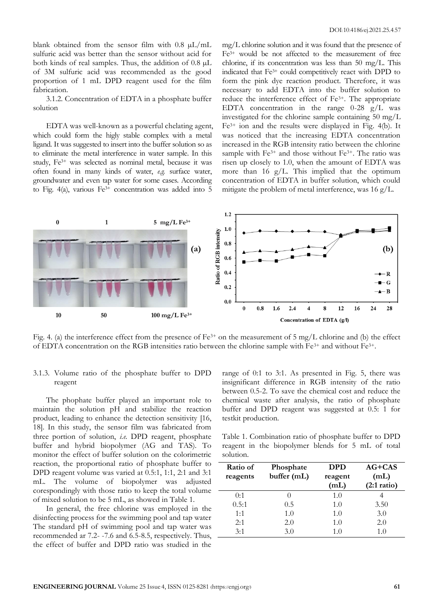blank obtained from the sensor film with 0.8 µL/mL sulfuric acid was better than the sensor without acid for both kinds of real samples. Thus, the addition of 0.8 µL of 3M sulfuric acid was recommended as the good proportion of 1 mL DPD reagent used for the film fabrication.

3.1.2. Concentration of EDTA in a phosphate buffer solution

EDTA was well-known as a powerful chelating agent, which could form the higly stable complex with a metal ligand. It was suggested to insert into the buffer solution so as to eliminate the metal interference in water sample. In this study, Fe3+ was selected as nominal metal, because it was often found in many kinds of water, *e.g.* surface water, groundwater and even tap water for some cases. According to Fig. 4(a), various Fe3+ concentration was added into 5

mg/L chlorine solution and it was found that the presence of Fe3+ would be not affected to the measurement of free chlorine, if its concentration was less than 50 mg/L. This indicated that Fe3+ could competitively react with DPD to form the pink dye reaction product. Therefore, it was necessary to add EDTA into the buffer solution to reduce the interference effect of Fe3+. The appropriate EDTA concentration in the range  $0-28$  g/L was investigated for the chlorine sample containing 50 mg/L Fe3+ ion and the results were displayed in Fig. 4(b). It was noticed that the increasing EDTA concentration increased in the RGB intensity ratio between the chlorine sample with Fe<sup>3+</sup> and those without Fe<sup>3+</sup>. The ratio was risen up closely to 1.0, when the amount of EDTA was more than 16  $g/L$ . This implied that the optimum concentration of EDTA in buffer solution, which could mitigate the problem of metal interference, was 16 g/L.



Fig. 4. (a) the interference effect from the presence of  $Fe^{3+}$  on the measurement of 5 mg/L chlorine and (b) the effect of EDTA concentration on the RGB intensities ratio between the chlorine sample with  $Fe^{3+}$  and without  $Fe^{3+}$ .

# 3.1.3. Volume ratio of the phosphate buffer to DPD reagent

The phophate buffer played an important role to maintain the solution pH and stabilize the reaction product, leading to enhance the detection sensitivity [16, 18]. In this study, the sensor film was fabricated from three portion of solution, *i.e.* DPD reagent, phosphate buffer and hybrid biopolymer (AG and TAS). To monitor the effect of buffer solution on the colorimetric reaction, the proportional ratio of phosphate buffer to DPD reagent volume was varied at 0.5:1, 1:1, 2:1 and 3:1 mL. The volume of biopolymer was adjusted corespondingly with those ratio to keep the total volume of mixed solution to be 5 mL, as showed in Table 1.

In general, the free chlorine was employed in the disinfecting process for the swimming pool and tap water The standard pH of swimming pool and tap water was recommended ar 7.2- -7.6 and 6.5-8.5, respectively. Thus, the effect of buffer and DPD ratio was studied in the

range of 0:1 to 3:1. As presented in Fig. 5, there was insignificant difference in RGB intensity of the ratio between 0.5-2. To save the chemical cost and reduce the chemical waste after analysis, the ratio of phosphate buffer and DPD reagent was suggested at 0.5: 1 for testkit production.

Table 1. Combination ratio of phosphate buffer to DPD reagent in the biopolymer blends for 5 mL of total solution.

| Ratio of<br>reagents | Phosphate<br>buffer (mL) | <b>DPD</b><br>reagent<br>(mL) | $AG+CAS$<br>(mL)<br>$(2:1 \text{ ratio})$ |
|----------------------|--------------------------|-------------------------------|-------------------------------------------|
| 0:1                  |                          | 1.0                           |                                           |
| 0.5:1                | 0.5                      | 1.0                           | 3.50                                      |
| 1:1                  | 1.0                      | 1.0                           | 3.0                                       |
| 2:1                  | 2.0                      | 1.0                           | 2.0                                       |
| 3:1                  | 3.0                      | 1.0                           | 1.0                                       |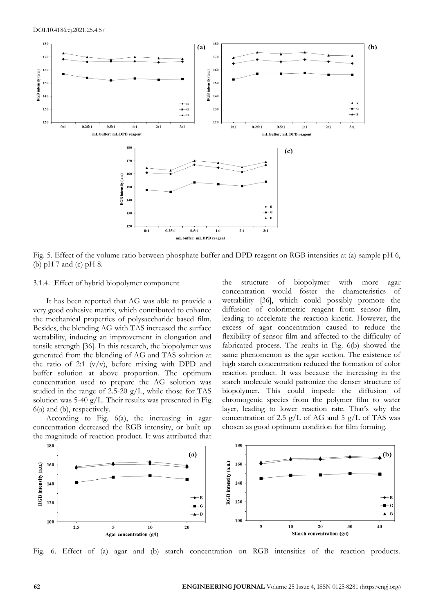

Fig. 5. Effect of the volume ratio between phosphate buffer and DPD reagent on RGB intensities at (a) sample pH 6, (b) pH 7 and (c) pH 8.

## 3.1.4. Effect of hybrid biopolymer component

It has been reported that AG was able to provide a very good cohesive matrix, which contributed to enhance the mechanical properties of polysaccharide based film. Besides, the blending AG with TAS increased the surface wettability, inducing an improvement in elongation and tensile strength [36]. In this research, the biopolymer was generated from the blending of AG and TAS solution at the ratio of 2:1  $(v/v)$ , before mixing with DPD and buffer solution at above proportion. The optimum concentration used to prepare the AG solution was studied in the range of 2.5-20  $g/L$ , while those for TAS solution was 5-40 g/L. Their results was presented in Fig. 6(a) and (b), respectively.

According to Fig. 6(a), the increasing in agar concentration decreased the RGB intensity, or built up the magnitude of reaction product. It was attributed that

the structure of biopolymer with more agar concentration would foster the characteristics of wettability [36], which could possibly promote the diffusion of colorimetric reagent from sensor film, leading to accelerate the reaction kinetic. However, the excess of agar concentration caused to reduce the flexibility of sensor film and affected to the difficulty of fabricated process. The reults in Fig. 6(b) showed the same phenomenon as the agar section. The existence of high starch concentration reduced the formation of color reaction product. It was because the increasing in the starch molecule would patronize the denser structure of biopolymer. This could impede the diffusion of chromogenic species from the polymer film to water layer, leading to lower reaction rate. That's why the concentration of 2.5  $g/L$  of AG and 5  $g/L$  of TAS was chosen as good optimum condition for film forming.



Fig. 6. Effect of (a) agar and (b) starch concentration on RGB intensities of the reaction products.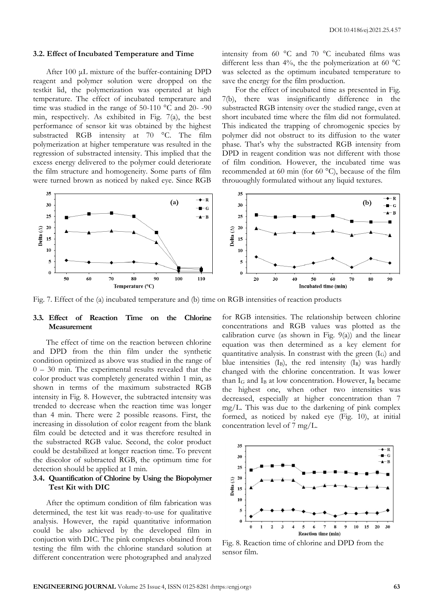#### **3.2. Effect of Incubated Temperature and Time**

After 100 μL mixture of the buffer-containing DPD reagent and polymer solution were dropped on the testkit lid, the polymerization was operated at high temperature. The effect of incubated temperature and time was studied in the range of 50-110 °C and 20- -90 min, respectively. As exhibited in Fig. 7(a), the best performance of sensor kit was obtained by the highest substracted RGB intensity at 70 °C. The film polymerization at higher temperature was resulted in the regression of substracted intensity. This implied that the excess energy delivered to the polymer could deteriorate the film structure and homogeneity. Some parts of film were turned brown as noticed by naked eye. Since RGB

intensity from 60 °C and 70 °C incubated films was different less than 4%, the the polymerization at 60  $^{\circ}$ C was selected as the optimum incubated temperature to save the energy for the film production.

For the effect of incubated time as presented in Fig. 7(b), there was insignificantly difference in the substracted RGB intensity over the studied range, even at short incubated time where the film did not formulated. This indicated the trapping of chromogenic species by polymer did not obstruct to its diffusion to the water phase. That's why the substracted RGB intensity from DPD in reagent condition was not different with those of film condition. However, the incubated time was recommended at 60 min (for 60 °C), because of the film thrououghly formulated without any liquid textures.



Fig. 7. Effect of the (a) incubated temperature and (b) time on RGB intensities of reaction products

# **3.3. Effect of Reaction Time on the Chlorine Measurement**

The effect of time on the reaction between chlorine and DPD from the thin film under the synthetic condition optimized as above was studied in the range of 0 – 30 min. The experimental results revealed that the color product was completely generated within 1 min, as shown in terms of the maximum substracted RGB intensity in Fig. 8. However, the subtracted intensity was trended to decrease when the reaction time was longer than 4 min. There were 2 possible reasons. First, the increasing in dissolution of color reagent from the blank film could be detected and it was therefore resulted in the substracted RGB value. Second, the color product could be destabilized at longer reaction time. To prevent the discolor of subtracted RGB, the optimum time for detection should be applied at 1 min.

# **3.4. Quantification of Chlorine by Using the Biopolymer Test Kit with DIC**

After the optimum condition of film fabrication was determined, the test kit was ready-to-use for qualitative analysis. However, the rapid quantitative information could be also achieved by the developed film in conjuction with DIC. The pink complexes obtained from testing the film with the chlorine standard solution at different concentration were photographed and analyzed

for RGB intensities. The relationship between chlorine concentrations and RGB values was plotted as the calibration curve (as shown in Fig.  $9(a)$ ) and the linear equation was then determined as a key element for quantitative analysis. In constrast with the green  $(I_G)$  and blue intensities  $(I_B)$ , the red intensity  $(I_R)$  was hardly changed with the chlorine concentration. It was lower than  $I_G$  and  $I_B$  at low concentration. However,  $I_R$  became the highest one, when other two intensities was decreased, especially at higher concentration than 7 mg/L. This was due to the darkening of pink complex formed, as noticed by naked eye (Fig. 10), at initial concentration level of 7 mg/L.



Fig. 8. Reaction time of chlorine and DPD from the sensor film.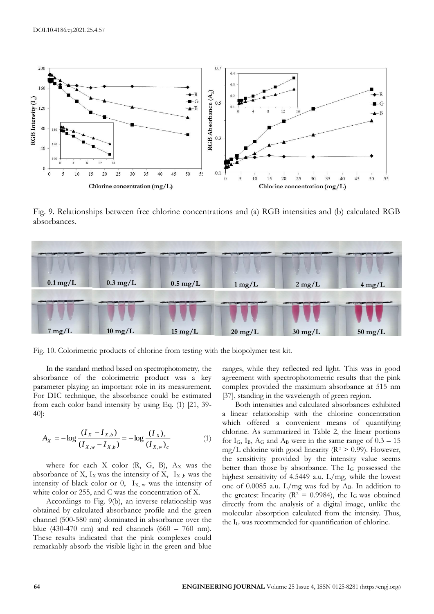

Fig. 9. Relationships between free chlorine concentrations and (a) RGB intensities and (b) calculated RGB absorbances.



Fig. 10. Colorimetric products of chlorine from testing with the biopolymer test kit.

In the standard method based on spectrophotometry, the absorbance of the colorimetric product was a key parameter playing an important role in its measurement. For DIC technique, the absorbance could be estimated from each color band intensity by using Eq. (1) [21, 39- 40]:

$$
A_X = -\log \frac{(I_X - I_{X,b})}{(I_{X,w} - I_{X,b})} = -\log \frac{(I_X)_{c}}{(I_{X,w})_{c}}
$$
(1)

where for each  $X$  color  $(R, G, B)$ ,  $A_X$  was the absorbance of X,  $I_X$  was the intensity of X,  $I_{X,b}$  was the intensity of black color or  $0$ ,  $I_{X,w}$  was the intensity of white color or 255, and C was the concentration of X.

Accordings to Fig. 9(b), an inverse relationship was obtained by calculated absorbance profile and the green channel (500-580 nm) dominated in absorbance over the blue (430-470 nm) and red channels (660 – 760 nm). These results indicated that the pink complexes could remarkably absorb the visible light in the green and blue ranges, while they reflected red light. This was in good agreement with spectrophotometric results that the pink complex provided the maximum absorbance at 515 nm [37], standing in the wavelength of green region.

Both intensities and calculated absorbances exhibited a linear relationship with the chlorine concentration which offered a convenient means of quantifying chlorine. As summarized in Table 2, the linear portions for  $I_G$ ,  $I_B$ ,  $A_G$  and  $A_B$  were in the same range of  $0.3 - 15$ mg/L chlorine with good linearity ( $\mathbb{R}^2 > 0.99$ ). However, the sensitivity provided by the intensity value seems better than those by absorbance. The  $I_G$  possessed the highest sensitivity of 4.5449 a.u. L/mg, while the lowest one of 0.0085 a.u.  $L/mg$  was fed by A<sub>B</sub>. In addition to the greatest linearity ( $R^2 = 0.9984$ ), the I<sub>G</sub> was obtained directly from the analysis of a digital image, unlike the molecular absorption calculated from the intensity. Thus, the I<sup>G</sup> was recommended for quantification of chlorine.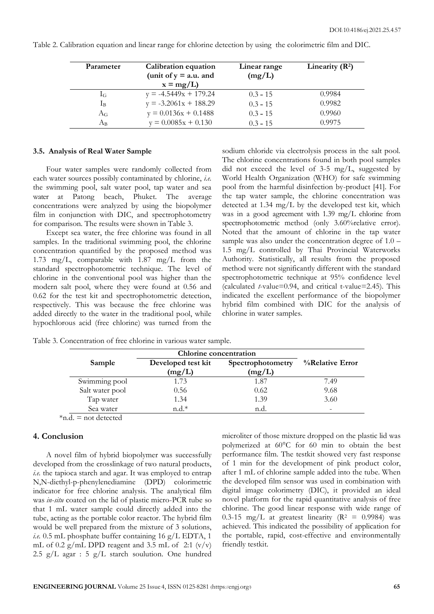| Parameter   | Calibration equation<br>(unit of $y = a.u$ . and<br>$x = mg/L$ | Linear range<br>(mg/L) | Linearity $(R^2)$ |
|-------------|----------------------------------------------------------------|------------------------|-------------------|
| $I_G$       | $y = -4.5449x + 179.24$                                        | $0.3 - 15$             | 0.9984            |
| Iв          | $y = -3.2061x + 188.29$                                        | $0.3 - 15$             | 0.9982            |
| $A_G$       | $y = 0.0136x + 0.1488$                                         | $0.3 - 15$             | 0.9960            |
| $A_{\rm B}$ | $y = 0.0085x + 0.130$                                          | $0.3 - 15$             | 0.9975            |

Table 2. Calibration equation and linear range for chlorine detection by using the colorimetric film and DIC.

#### **3.5. Analysis of Real Water Sample**

Four water samples were randomly collected from each water sources possibly contaminated by chlorine, *i.e.*  the swimming pool, salt water pool, tap water and sea water at Patong beach, Phuket. The average concentrations were analyzed by using the biopolymer film in conjunction with DIC, and spectrophotometry for comparison. The results were shown in Table 3.

Except sea water, the free chlorine was found in all samples. In the traditional swimming pool, the chlorine concentration quantified by the proposed method was 1.73 mg/L, comparable with 1.87 mg/L from the standard spectrophotometric technique. The level of chlorine in the conventional pool was higher than the modern salt pool, where they were found at 0.56 and 0.62 for the test kit and spectrophotometric detection, respectively. This was because the free chlorine was added directly to the water in the traditional pool, while hypochlorous acid (free chlorine) was turned from the

sodium chloride via electrolysis process in the salt pool. The chlorine concentrations found in both pool samples did not exceed the level of  $3-5$  mg/L, suggested by World Health Organization (WHO) for safe swimming pool from the harmful disinfection by-product [41]. For the tap water sample, the chlorine concentration was detected at 1.34 mg/L by the developed test kit, which was in a good agreement with 1.39 mg/L chlorine from spectrophotometric method (only 3.60% relative error). Noted that the amount of chlorine in the tap water sample was also under the concentration degree of 1.0 – 1.5 mg/L controlled by Thai Provincial Waterworks Authority. Statistically, all results from the proposed method were not significantly different with the standard spectrophotometric technique at 95% confidence level (calculated *t*-value=0.94, and critical t-value=2.45). This indicated the excellent performance of the biopolymer hybrid film combined with DIC for the analysis of chlorine in water samples.

|                 | <b>Chlorine</b> concentration |                             |                 |
|-----------------|-------------------------------|-----------------------------|-----------------|
| Sample          | Developed test kit<br>(mg/L)  | Spectrophotometry<br>(mg/L) | %Relative Error |
| Swimming pool   | 1.73                          | 1.87                        | 7.49            |
| Salt water pool | 0.56                          | 0.62                        | 9.68            |
| Tap water       | 1.34                          | 1.39                        | 3.60            |
| Sea water       | $n.d.*$                       | n.d.                        | -               |

Table 3. Concentration of free chlorine in various water sample.

\*n.d. = not detected

## **4. Conclusion**

A novel film of hybrid biopolymer was successfully developed from the crosslinkage of two natural products, *i.e.* the tapioca starch and agar. It was employed to entrap N,N-diethyl-p-phenylenediamine (DPD) colorimetric indicator for free chlorine analysis. The analytical film was *in-situ* coated on the lid of plastic micro-PCR tube so that 1 mL water sample could directly added into the tube, acting as the portable color reactor. The hybrid film would be well prepared from the mixture of 3 solutions, *i.e.* 0.5 mL phosphate buffer containing 16 g/L EDTA, 1 mL of 0.2 g/mL DPD reagent and 3.5 mL of 2:1  $(v/v)$ 2.5 g/L agar : 5 g/L starch soulution. One hundred microliter of those mixture dropped on the plastic lid was polymerized at 60°C for 60 min to obtain the best performance film. The testkit showed very fast response of 1 min for the development of pink product color, after 1 mL of chlorine sample added into the tube. When the developed film sensor was used in combination with digital image colorimetry (DIC), it provided an ideal novel platform for the rapid quantitative analysis of free chlorine. The good linear response with wide range of 0.3-15 mg/L at greatest linearity ( $R^2 = 0.9984$ ) was achieved. This indicated the possibility of application for the portable, rapid, cost-effective and environmentally friendly testkit.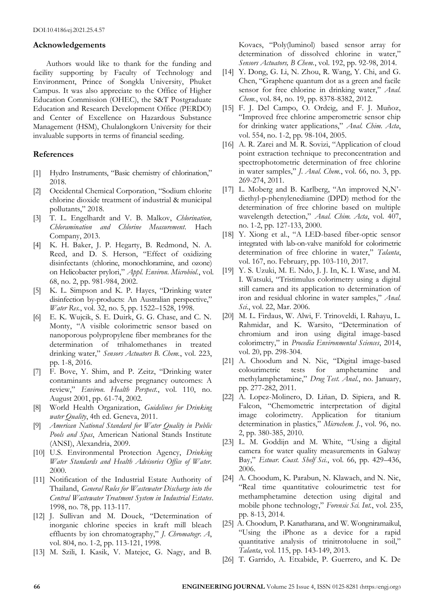# **Acknowledgements**

Authors would like to thank for the funding and facility supporting by Faculty of Technology and Environment, Prince of Songkla University, Phuket Campus. It was also appreciate to the Office of Higher Education Commission (OHEC), the S&T Postgraduate Education and Research Development Office (PERDO) and Center of Excellence on Hazardous Substance Management (HSM), Chulalongkorn University for their invaluable supports in terms of financial seeding.

# **References**

- [1] Hydro Instruments, "Basic chemistry of chlorination," 2018.
- [2] Occidental Chemical Corporation, "Sodium chlorite chlorine dioxide treatment of industrial & municipal pollutants," 2018.
- [3] T. L. Engelhardt and V. B. Malkov, *Chlorination, Chloramination and Chlorine Measurement*. Hach Company, 2013.
- [4] K. H. Baker, J. P. Hegarty, B. Redmond, N. A. Reed, and D. S. Herson, "Effect of oxidizing disinfectants (chlorine, monochloramine, and ozone) on Helicobacter prylori," *Appl. Environ. Microbiol.*, vol. 68, no. 2, pp. 981-984, 2002.
- [5] K. L. Simpson and K. P. Hayes, "Drinking water disinfection by-products: An Australian perspective," *Water Res.*, vol. 32, no. 5, pp. 1522–1528, 1998.
- [6] E. K. Wujcik, S. E. Duirk, G. G. Chase, and C. N. Monty, "A visible colorimetric sensor based on nanoporous polypropylene fiber membranes for the determination of trihalomethanes in treated drinking water," *Sensors Actuators B. Chem.*, vol. 223, pp. 1-8, 2016.
- [7] F. Bove, Y. Shim, and P. Zeitz, "Drinking water contaminants and adverse pregnancy outcomes: A review," *Environ. Health Perspect.*, vol. 110, no. August 2001, pp. 61-74, 2002.
- [8] World Health Organization, *Guidelines for Drinking water Quality*, 4th ed. Geneva, 2011.
- [9] *American National Standard for Water Quality in Public Pools and Spas*, American National Stands Institute (ANSI), Alexandria, 2009.
- [10] U.S. Environmental Protection Agency, *Drinking Water Standards and Health Advisories Office of Water*. 2000.
- [11] Notification of the Industrial Estate Authority of Thailand, *General Rules for Wastewater Discharge into the Central Wastewater Treatment System in Industrial Estates*. 1998, no. 78, pp. 113-117.
- [12] J. Sullivan and M. Douek, "Determination of inorganic chlorine species in kraft mill bleach effluents by ion chromatography," *J. Chromatogr. A*, vol. 804, no. 1-2, pp. 113-121, 1998.
- [13] M. Szili, I. Kasik, V. Matejec, G. Nagy, and B.

Kovacs, "Poly(luminol) based sensor array for determination of dissolved chlorine in water," *Sensors Actuators, B Chem.*, vol. 192, pp. 92-98, 2014.

- [14] Y. Dong, G. Li, N. Zhou, R. Wang, Y. Chi, and G. Chen, "Graphene quantum dot as a green and facile sensor for free chlorine in drinking water," *Anal. Chem.*, vol. 84, no. 19, pp. 8378-8382, 2012.
- [15] F. J. Del Campo, O. Ordeig, and F. J. Muñoz, "Improved free chlorine amperometric sensor chip for drinking water applications," *Anal. Chim. Acta*, vol. 554, no. 1-2, pp. 98-104, 2005.
- [16] A. R. Zarei and M. R. Sovizi, "Application of cloud point extraction technique to preconcentration and spectrophotometric determination of free chlorine in water samples," *J. Anal. Chem.*, vol. 66, no. 3, pp. 269-274, 2011.
- [17] L. Moberg and B. Karlberg, "An improved N,N'diethyl-p-phenylenediamine (DPD) method for the determination of free chlorine based on multiple wavelength detection," *Anal. Chim. Acta*, vol. 407, no. 1-2, pp. 127-133, 2000.
- [18] Y. Xiong et al., "A LED-based fiber-optic sensor integrated with lab-on-valve manifold for colorimetric determination of free chlorine in water," *Talanta*, vol. 167, no. February, pp. 103-110, 2017.
- [19] Y. S. Uzuki, M. E. Ndo, J. J. In, K. I. Wase, and M. I. Watsuki, "Tristimulus colorimetry using a digital still camera and its application to determination of iron and residual chlorine in water samples," *Anal. Sci.*, vol. 22, Mar. 2006.
- [20] M. L. Firdaus, W. Alwi, F. Trinoveldi, I. Rahayu, L. Rahmidar, and K. Warsito, "Determination of chromium and iron using digital image-based colorimetry," in *Procedia Environmental Sciences*, 2014, vol. 20, pp. 298-304.
- [21] A. Choodum and N. Nic, "Digital image-based colourimetric tests for amphetamine and methylamphetamine," *Drug Test. Anal.*, no. January, pp. 277-282, 2011.
- [22] A. Lopez-Molinero, D. Liñan, D. Sipiera, and R. Falcon, "Chemometric interpretation of digital image colorimetry. Application for titanium determination in plastics," *Microchem. J.*, vol. 96, no. 2, pp. 380-385, 2010.
- [23] L. M. Goddijn and M. White, "Using a digital camera for water quality measurements in Galway Bay," *Estuar. Coast. Shelf Sci.*, vol. 66, pp. 429–436, 2006.
- [24] A. Choodum, K. Parabun, N. Klawach, and N. Nic, "Real time quantitative colourimetric test for methamphetamine detection using digital and mobile phone technology," *Forensic Sci. Int.*, vol. 235, pp. 8-13, 2014.
- [25] A. Choodum, P. Kanatharana, and W. Wongniramaikul, "Using the iPhone as a device for a rapid quantitative analysis of trinitrotoluene in soil," *Talanta*, vol. 115, pp. 143-149, 2013.
- [26] T. Garrido, A. Etxabide, P. Guerrero, and K. De